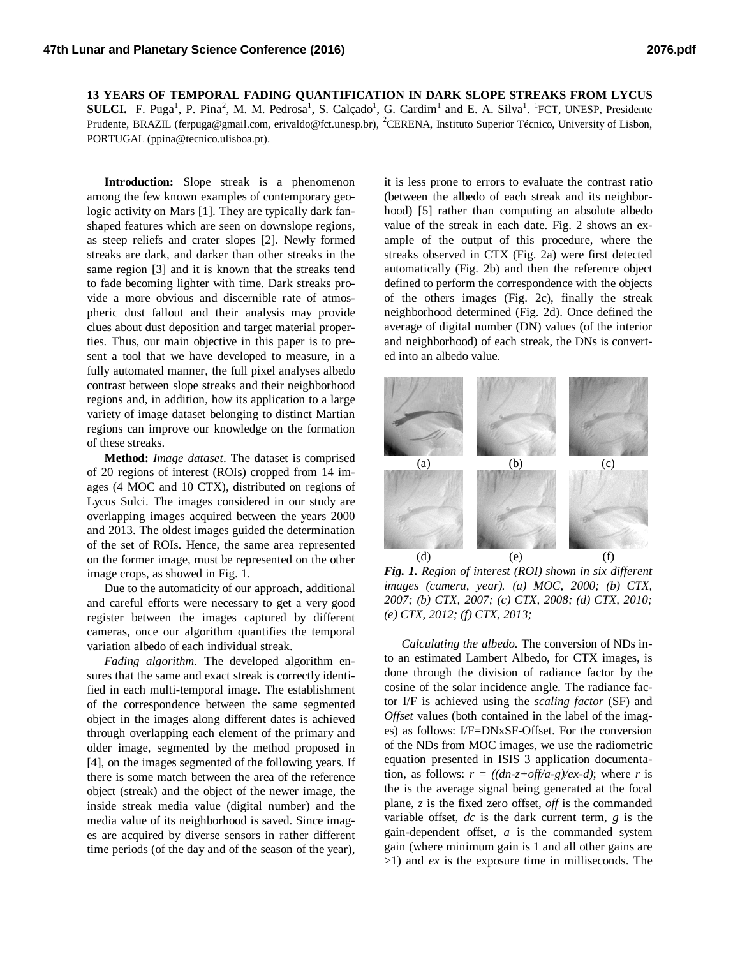**13 YEARS OF TEMPORAL FADING QUANTIFICATION IN DARK SLOPE STREAKS FROM LYCUS SULCI.** F. Puga<sup>1</sup>, P. Pina<sup>2</sup>, M. M. Pedrosa<sup>1</sup>, S. Calçado<sup>1</sup>, G. Cardim<sup>1</sup> and E. A. Silva<sup>1</sup>. <sup>1</sup>FCT, UNESP, Presidente Prudente, BRAZIL (ferpuga@gmail.com, erivaldo@fct.unesp.br), <sup>2</sup>CERENA, Instituto Superior Técnico, University of Lisbon, PORTUGAL (ppina@tecnico.ulisboa.pt).

**Introduction:** Slope streak is a phenomenon among the few known examples of contemporary geologic activity on Mars [1]. They are typically dark fanshaped features which are seen on downslope regions, as steep reliefs and crater slopes [2]. Newly formed streaks are dark, and darker than other streaks in the same region [3] and it is known that the streaks tend to fade becoming lighter with time. Dark streaks provide a more obvious and discernible rate of atmospheric dust fallout and their analysis may provide clues about dust deposition and target material properties. Thus, our main objective in this paper is to present a tool that we have developed to measure, in a fully automated manner, the full pixel analyses albedo contrast between slope streaks and their neighborhood regions and, in addition, how its application to a large variety of image dataset belonging to distinct Martian regions can improve our knowledge on the formation of these streaks.

**Method:** *Image dataset*. The dataset is comprised of 20 regions of interest (ROIs) cropped from 14 images (4 MOC and 10 CTX), distributed on regions of Lycus Sulci. The images considered in our study are overlapping images acquired between the years 2000 and 2013. The oldest images guided the determination of the set of ROIs. Hence, the same area represented on the former image, must be represented on the other image crops, as showed in Fig. 1.

Due to the automaticity of our approach, additional and careful efforts were necessary to get a very good register between the images captured by different cameras, once our algorithm quantifies the temporal variation albedo of each individual streak.

*Fading algorithm.* The developed algorithm ensures that the same and exact streak is correctly identified in each multi-temporal image. The establishment of the correspondence between the same segmented object in the images along different dates is achieved through overlapping each element of the primary and older image, segmented by the method proposed in [4], on the images segmented of the following years. If there is some match between the area of the reference object (streak) and the object of the newer image, the inside streak media value (digital number) and the media value of its neighborhood is saved. Since images are acquired by diverse sensors in rather different time periods (of the day and of the season of the year),

it is less prone to errors to evaluate the contrast ratio (between the albedo of each streak and its neighborhood) [5] rather than computing an absolute albedo value of the streak in each date. Fig. 2 shows an example of the output of this procedure, where the streaks observed in CTX (Fig. 2a) were first detected automatically (Fig. 2b) and then the reference object defined to perform the correspondence with the objects of the others images (Fig. 2c), finally the streak neighborhood determined (Fig. 2d). Once defined the average of digital number (DN) values (of the interior and neighborhood) of each streak, the DNs is converted into an albedo value.



*Fig. 1. Region of interest (ROI) shown in six different images (camera, year). (a) MOC, 2000; (b) CTX, 2007; (b) CTX, 2007; (c) CTX, 2008; (d) CTX, 2010; (e) CTX, 2012; (f) CTX, 2013;*

*Calculating the albedo.* The conversion of NDs into an estimated Lambert Albedo, for CTX images, is done through the division of radiance factor by the cosine of the solar incidence angle. The radiance factor I/F is achieved using the *scaling factor* (SF) and *Offset* values (both contained in the label of the images) as follows: I/F=DNxSF-Offset. For the conversion of the NDs from MOC images, we use the radiometric equation presented in ISIS 3 application documentation, as follows:  $r = ((dn-z+off/a-g)/ex-d)$ ; where *r* is the is the average signal being generated at the focal plane, *z* is the fixed zero offset, *off* is the commanded variable offset, *dc* is the dark current term, *g* is the gain-dependent offset, *a* is the commanded system gain (where minimum gain is 1 and all other gains are >1) and *ex* is the exposure time in milliseconds. The